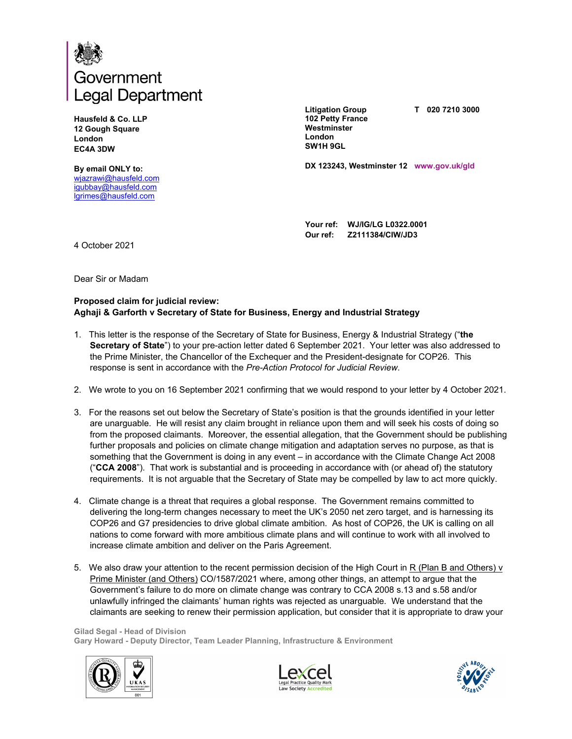

**Hausfeld & Co. LLP 12 Gough Square London EC4A 3DW** 

**By email ONLY to:** wjazrawi@hausfeld.com igubbay@hausfeld.com lgrimes@hausfeld.com

**Litigation Group 102 Petty France Westminster London SW1H 9GL** 

**T 020 7210 3000** 

**DX 123243, Westminster 12 www.gov.uk/gld**

**Your ref: WJ/IG/LG L0322.0001 Our ref: Z2111384/CIW/JD3** 

4 October 2021

Dear Sir or Madam

## **Proposed claim for judicial review: Aghaji & Garforth v Secretary of State for Business, Energy and Industrial Strategy**

- 1. This letter is the response of the Secretary of State for Business, Energy & Industrial Strategy ("**the Secretary of State**") to your pre-action letter dated 6 September 2021. Your letter was also addressed to the Prime Minister, the Chancellor of the Exchequer and the President-designate for COP26. This response is sent in accordance with the *Pre-Action Protocol for Judicial Review*.
- 2. We wrote to you on 16 September 2021 confirming that we would respond to your letter by 4 October 2021.
- 3. For the reasons set out below the Secretary of State's position is that the grounds identified in your letter are unarguable. He will resist any claim brought in reliance upon them and will seek his costs of doing so from the proposed claimants. Moreover, the essential allegation, that the Government should be publishing further proposals and policies on climate change mitigation and adaptation serves no purpose, as that is something that the Government is doing in any event – in accordance with the Climate Change Act 2008 ("**CCA 2008**"). That work is substantial and is proceeding in accordance with (or ahead of) the statutory requirements. It is not arguable that the Secretary of State may be compelled by law to act more quickly.
- 4. Climate change is a threat that requires a global response. The Government remains committed to delivering the long-term changes necessary to meet the UK's 2050 net zero target, and is harnessing its COP26 and G7 presidencies to drive global climate ambition. As host of COP26, the UK is calling on all nations to come forward with more ambitious climate plans and will continue to work with all involved to increase climate ambition and deliver on the Paris Agreement.
- 5. We also draw your attention to the recent permission decision of the High Court in R (Plan B and Others) v Prime Minister (and Others) CO/1587/2021 where, among other things, an attempt to argue that the Government's failure to do more on climate change was contrary to CCA 2008 s.13 and s.58 and/or unlawfully infringed the claimants' human rights was rejected as unarguable. We understand that the claimants are seeking to renew their permission application, but consider that it is appropriate to draw your

**Gilad Segal - Head of Division Gary Howard - Deputy Director, Team Leader Planning, Infrastructure & Environment** 





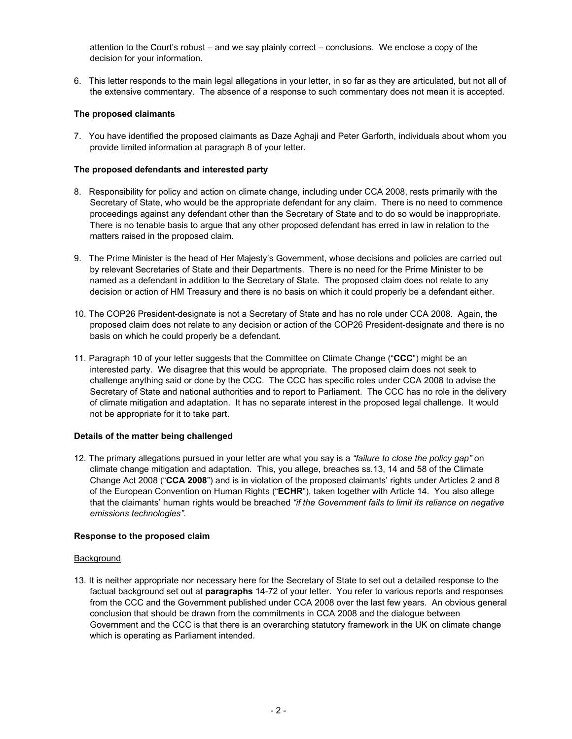attention to the Court's robust – and we say plainly correct – conclusions. We enclose a copy of the decision for your information.

6. This letter responds to the main legal allegations in your letter, in so far as they are articulated, but not all of the extensive commentary. The absence of a response to such commentary does not mean it is accepted.

## **The proposed claimants**

7. You have identified the proposed claimants as Daze Aghaji and Peter Garforth, individuals about whom you provide limited information at paragraph 8 of your letter.

## **The proposed defendants and interested party**

- 8. Responsibility for policy and action on climate change, including under CCA 2008, rests primarily with the Secretary of State, who would be the appropriate defendant for any claim. There is no need to commence proceedings against any defendant other than the Secretary of State and to do so would be inappropriate. There is no tenable basis to argue that any other proposed defendant has erred in law in relation to the matters raised in the proposed claim.
- 9. The Prime Minister is the head of Her Majesty's Government, whose decisions and policies are carried out by relevant Secretaries of State and their Departments. There is no need for the Prime Minister to be named as a defendant in addition to the Secretary of State. The proposed claim does not relate to any decision or action of HM Treasury and there is no basis on which it could properly be a defendant either.
- 10. The COP26 President-designate is not a Secretary of State and has no role under CCA 2008. Again, the proposed claim does not relate to any decision or action of the COP26 President-designate and there is no basis on which he could properly be a defendant.
- 11. Paragraph 10 of your letter suggests that the Committee on Climate Change ("**CCC**") might be an interested party. We disagree that this would be appropriate. The proposed claim does not seek to challenge anything said or done by the CCC. The CCC has specific roles under CCA 2008 to advise the Secretary of State and national authorities and to report to Parliament. The CCC has no role in the delivery of climate mitigation and adaptation. It has no separate interest in the proposed legal challenge. It would not be appropriate for it to take part.

#### **Details of the matter being challenged**

12. The primary allegations pursued in your letter are what you say is a *"failure to close the policy gap"* on climate change mitigation and adaptation. This, you allege, breaches ss.13, 14 and 58 of the Climate Change Act 2008 ("**CCA 2008**") and is in violation of the proposed claimants' rights under Articles 2 and 8 of the European Convention on Human Rights ("**ECHR**"), taken together with Article 14. You also allege that the claimants' human rights would be breached *"if the Government fails to limit its reliance on negative emissions technologies"*.

#### **Response to the proposed claim**

#### **Background**

13. It is neither appropriate nor necessary here for the Secretary of State to set out a detailed response to the factual background set out at **paragraphs** 14-72 of your letter. You refer to various reports and responses from the CCC and the Government published under CCA 2008 over the last few years. An obvious general conclusion that should be drawn from the commitments in CCA 2008 and the dialogue between Government and the CCC is that there is an overarching statutory framework in the UK on climate change which is operating as Parliament intended.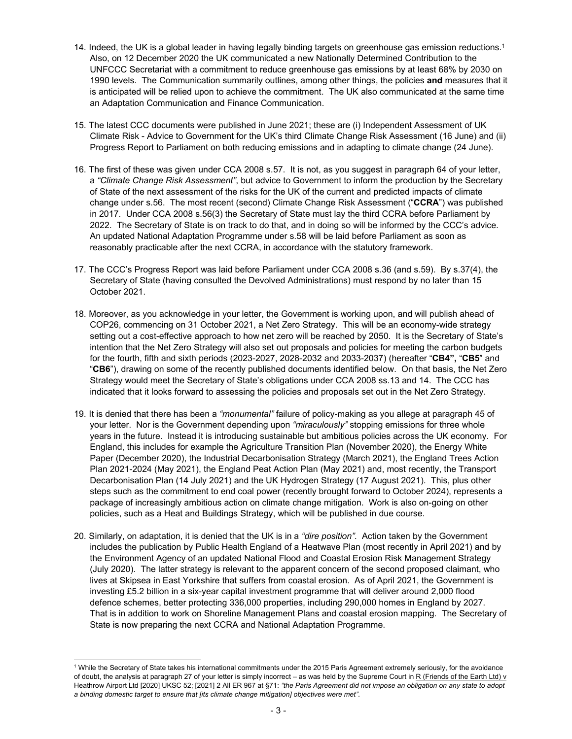- 14. Indeed, the UK is a global leader in having legally binding targets on greenhouse gas emission reductions.<sup>1</sup> Also, on 12 December 2020 the UK communicated a new Nationally Determined Contribution to the UNFCCC Secretariat with a commitment to reduce greenhouse gas emissions by at least 68% by 2030 on 1990 levels. The Communication summarily outlines, among other things, the policies **and** measures that it is anticipated will be relied upon to achieve the commitment. The UK also communicated at the same time an Adaptation Communication and Finance Communication.
- 15. The latest CCC documents were published in June 2021; these are (i) Independent Assessment of UK Climate Risk - Advice to Government for the UK's third Climate Change Risk Assessment (16 June) and (ii) Progress Report to Parliament on both reducing emissions and in adapting to climate change (24 June).
- 16. The first of these was given under CCA 2008 s.57. It is not, as you suggest in paragraph 64 of your letter, a *"Climate Change Risk Assessment"*, but advice to Government to inform the production by the Secretary of State of the next assessment of the risks for the UK of the current and predicted impacts of climate change under s.56. The most recent (second) Climate Change Risk Assessment ("**CCRA**") was published in 2017. Under CCA 2008 s.56(3) the Secretary of State must lay the third CCRA before Parliament by 2022. The Secretary of State is on track to do that, and in doing so will be informed by the CCC's advice. An updated National Adaptation Programme under s.58 will be laid before Parliament as soon as reasonably practicable after the next CCRA, in accordance with the statutory framework.
- 17. The CCC's Progress Report was laid before Parliament under CCA 2008 s.36 (and s.59). By s.37(4), the Secretary of State (having consulted the Devolved Administrations) must respond by no later than 15 October 2021.
- 18. Moreover, as you acknowledge in your letter, the Government is working upon, and will publish ahead of COP26, commencing on 31 October 2021, a Net Zero Strategy. This will be an economy-wide strategy setting out a cost-effective approach to how net zero will be reached by 2050. It is the Secretary of State's intention that the Net Zero Strategy will also set out proposals and policies for meeting the carbon budgets for the fourth, fifth and sixth periods (2023-2027, 2028-2032 and 2033-2037) (hereafter "**CB4",** "**CB5**" and "**CB6**"), drawing on some of the recently published documents identified below. On that basis, the Net Zero Strategy would meet the Secretary of State's obligations under CCA 2008 ss.13 and 14. The CCC has indicated that it looks forward to assessing the policies and proposals set out in the Net Zero Strategy.
- 19. It is denied that there has been a *"monumental"* failure of policy-making as you allege at paragraph 45 of your letter. Nor is the Government depending upon *"miraculously"* stopping emissions for three whole years in the future. Instead it is introducing sustainable but ambitious policies across the UK economy. For England, this includes for example the Agriculture Transition Plan (November 2020), the Energy White Paper (December 2020), the Industrial Decarbonisation Strategy (March 2021), the England Trees Action Plan 2021-2024 (May 2021), the England Peat Action Plan (May 2021) and, most recently, the Transport Decarbonisation Plan (14 July 2021) and the UK Hydrogen Strategy (17 August 2021). This, plus other steps such as the commitment to end coal power (recently brought forward to October 2024), represents a package of increasingly ambitious action on climate change mitigation. Work is also on-going on other policies, such as a Heat and Buildings Strategy, which will be published in due course.
- 20. Similarly, on adaptation, it is denied that the UK is in a *"dire position"*. Action taken by the Government includes the publication by Public Health England of a Heatwave Plan (most recently in April 2021) and by the Environment Agency of an updated National Flood and Coastal Erosion Risk Management Strategy (July 2020). The latter strategy is relevant to the apparent concern of the second proposed claimant, who lives at Skipsea in East Yorkshire that suffers from coastal erosion. As of April 2021, the Government is investing £5.2 billion in a six-year capital investment programme that will deliver around 2,000 flood defence schemes, better protecting 336,000 properties, including 290,000 homes in England by 2027. That is in addition to work on Shoreline Management Plans and coastal erosion mapping. The Secretary of State is now preparing the next CCRA and National Adaptation Programme.

 $\overline{a}$ 

<sup>&</sup>lt;sup>1</sup> While the Secretary of State takes his international commitments under the 2015 Paris Agreement extremely seriously, for the avoidance of doubt, the analysis at paragraph 27 of your letter is simply incorrect - as was held by the Supreme Court in R (Friends of the Earth Ltd) v Heathrow Airport Ltd [2020] UKSC 52; [2021] 2 All ER 967 at §71: *"the Paris Agreement did not impose an obligation on any state to adopt a binding domestic target to ensure that [its climate change mitigation] objectives were met"*.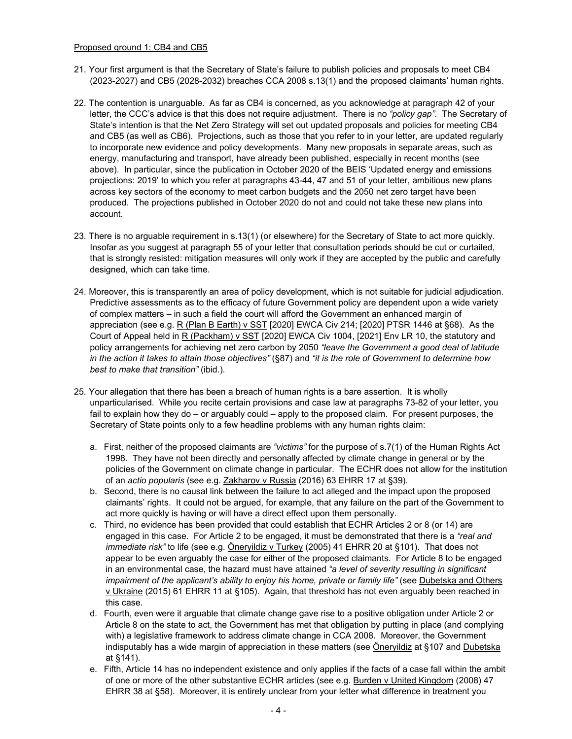#### Proposed ground 1: CB4 and CB5

- 21. Your first argument is that the Secretary of State's failure to publish policies and proposals to meet CB4 (2023-2027) and CB5 (2028-2032) breaches CCA 2008 s.13(1) and the proposed claimants' human rights.
- 22. The contention is unarguable. As far as CB4 is concerned, as you acknowledge at paragraph 42 of your letter, the CCC's advice is that this does not require adjustment. There is no *"policy gap"*. The Secretary of State's intention is that the Net Zero Strategy will set out updated proposals and policies for meeting CB4 and CB5 (as well as CB6). Projections, such as those that you refer to in your letter, are updated regularly to incorporate new evidence and policy developments. Many new proposals in separate areas, such as energy, manufacturing and transport, have already been published, especially in recent months (see above). In particular, since the publication in October 2020 of the BEIS 'Updated energy and emissions projections: 2019' to which you refer at paragraphs 43-44, 47 and 51 of your letter, ambitious new plans across key sectors of the economy to meet carbon budgets and the 2050 net zero target have been produced. The projections published in October 2020 do not and could not take these new plans into account.
- 23. There is no arguable requirement in s.13(1) (or elsewhere) for the Secretary of State to act more quickly. Insofar as you suggest at paragraph 55 of your letter that consultation periods should be cut or curtailed, that is strongly resisted: mitigation measures will only work if they are accepted by the public and carefully designed, which can take time.
- 24. Moreover, this is transparently an area of policy development, which is not suitable for judicial adjudication. Predictive assessments as to the efficacy of future Government policy are dependent upon a wide variety of complex matters – in such a field the court will afford the Government an enhanced margin of appreciation (see e.g. R (Plan B Earth) v SST [2020] EWCA Civ 214; [2020] PTSR 1446 at §68). As the Court of Appeal held in R (Packham) v SST [2020] EWCA Civ 1004, [2021] Env LR 10, the statutory and policy arrangements for achieving net zero carbon by 2050 *"leave the Government a good deal of latitude in the action it takes to attain those objectives"* (§87) and *"it is the role of Government to determine how best to make that transition"* (ibid.).
- 25. Your allegation that there has been a breach of human rights is a bare assertion. It is wholly unparticularised. While you recite certain provisions and case law at paragraphs 73-82 of your letter, you fail to explain how they do – or arguably could – apply to the proposed claim. For present purposes, the Secretary of State points only to a few headline problems with any human rights claim:
	- a. First, neither of the proposed claimants are *"victims"* for the purpose of s.7(1) of the Human Rights Act 1998. They have not been directly and personally affected by climate change in general or by the policies of the Government on climate change in particular. The ECHR does not allow for the institution of an *actio popularis* (see e.g. Zakharov v Russia (2016) 63 EHRR 17 at §39).
	- b. Second, there is no causal link between the failure to act alleged and the impact upon the proposed claimants' rights. It could not be argued, for example, that any failure on the part of the Government to act more quickly is having or will have a direct effect upon them personally.
	- c. Third, no evidence has been provided that could establish that ECHR Articles 2 or 8 (or 14) are engaged in this case. For Article 2 to be engaged, it must be demonstrated that there is a *"real and immediate risk"* to life (see e.g. Öneryildiz v Turkey (2005) 41 EHRR 20 at §101). That does not appear to be even arguably the case for either of the proposed claimants. For Article 8 to be engaged in an environmental case, the hazard must have attained *"a level of severity resulting in significant impairment of the applicant's ability to enjoy his home, private or family life" (see Dubetska and Others* v Ukraine (2015) 61 EHRR 11 at §105). Again, that threshold has not even arguably been reached in this case.
	- d. Fourth, even were it arguable that climate change gave rise to a positive obligation under Article 2 or Article 8 on the state to act, the Government has met that obligation by putting in place (and complying with) a legislative framework to address climate change in CCA 2008. Moreover, the Government indisputably has a wide margin of appreciation in these matters (see Öneryildiz at §107 and Dubetska at §141).
	- e. Fifth, Article 14 has no independent existence and only applies if the facts of a case fall within the ambit of one or more of the other substantive ECHR articles (see e.g. Burden v United Kingdom (2008) 47 EHRR 38 at §58). Moreover, it is entirely unclear from your letter what difference in treatment you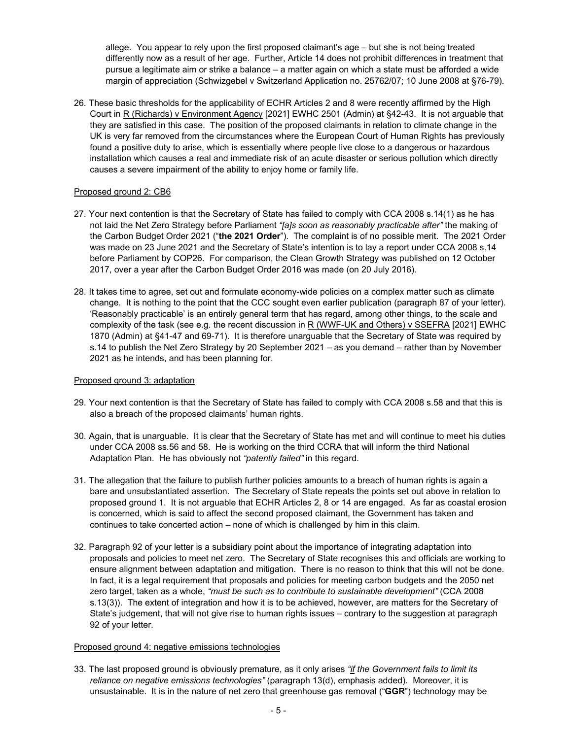allege. You appear to rely upon the first proposed claimant's age – but she is not being treated differently now as a result of her age. Further, Article 14 does not prohibit differences in treatment that pursue a legitimate aim or strike a balance – a matter again on which a state must be afforded a wide margin of appreciation (Schwizgebel v Switzerland Application no. 25762/07; 10 June 2008 at §76-79).

26. These basic thresholds for the applicability of ECHR Articles 2 and 8 were recently affirmed by the High Court in R (Richards) v Environment Agency [2021] EWHC 2501 (Admin) at §42-43. It is not arguable that they are satisfied in this case. The position of the proposed claimants in relation to climate change in the UK is very far removed from the circumstances where the European Court of Human Rights has previously found a positive duty to arise, which is essentially where people live close to a dangerous or hazardous installation which causes a real and immediate risk of an acute disaster or serious pollution which directly causes a severe impairment of the ability to enjoy home or family life.

## Proposed ground 2: CB6

- 27. Your next contention is that the Secretary of State has failed to comply with CCA 2008 s.14(1) as he has not laid the Net Zero Strategy before Parliament *"[a]s soon as reasonably practicable after"* the making of the Carbon Budget Order 2021 ("**the 2021 Order**"). The complaint is of no possible merit. The 2021 Order was made on 23 June 2021 and the Secretary of State's intention is to lay a report under CCA 2008 s.14 before Parliament by COP26. For comparison, the Clean Growth Strategy was published on 12 October 2017, over a year after the Carbon Budget Order 2016 was made (on 20 July 2016).
- 28. It takes time to agree, set out and formulate economy-wide policies on a complex matter such as climate change. It is nothing to the point that the CCC sought even earlier publication (paragraph 87 of your letter). 'Reasonably practicable' is an entirely general term that has regard, among other things, to the scale and complexity of the task (see e.g. the recent discussion in R (WWF-UK and Others) v SSEFRA [2021] EWHC 1870 (Admin) at §41-47 and 69-71). It is therefore unarguable that the Secretary of State was required by s.14 to publish the Net Zero Strategy by 20 September 2021 – as you demand – rather than by November 2021 as he intends, and has been planning for.

## Proposed ground 3: adaptation

- 29. Your next contention is that the Secretary of State has failed to comply with CCA 2008 s.58 and that this is also a breach of the proposed claimants' human rights.
- 30. Again, that is unarguable. It is clear that the Secretary of State has met and will continue to meet his duties under CCA 2008 ss.56 and 58. He is working on the third CCRA that will inform the third National Adaptation Plan. He has obviously not *"patently failed"* in this regard.
- 31. The allegation that the failure to publish further policies amounts to a breach of human rights is again a bare and unsubstantiated assertion. The Secretary of State repeats the points set out above in relation to proposed ground 1. It is not arguable that ECHR Articles 2, 8 or 14 are engaged. As far as coastal erosion is concerned, which is said to affect the second proposed claimant, the Government has taken and continues to take concerted action – none of which is challenged by him in this claim.
- 32. Paragraph 92 of your letter is a subsidiary point about the importance of integrating adaptation into proposals and policies to meet net zero. The Secretary of State recognises this and officials are working to ensure alignment between adaptation and mitigation. There is no reason to think that this will not be done. In fact, it is a legal requirement that proposals and policies for meeting carbon budgets and the 2050 net zero target, taken as a whole, *"must be such as to contribute to sustainable development"* (CCA 2008 s.13(3)). The extent of integration and how it is to be achieved, however, are matters for the Secretary of State's judgement, that will not give rise to human rights issues – contrary to the suggestion at paragraph 92 of your letter.

## Proposed ground 4: negative emissions technologies

33. The last proposed ground is obviously premature, as it only arises *"if the Government fails to limit its reliance on negative emissions technologies"* (paragraph 13(d), emphasis added). Moreover, it is unsustainable. It is in the nature of net zero that greenhouse gas removal ("**GGR**") technology may be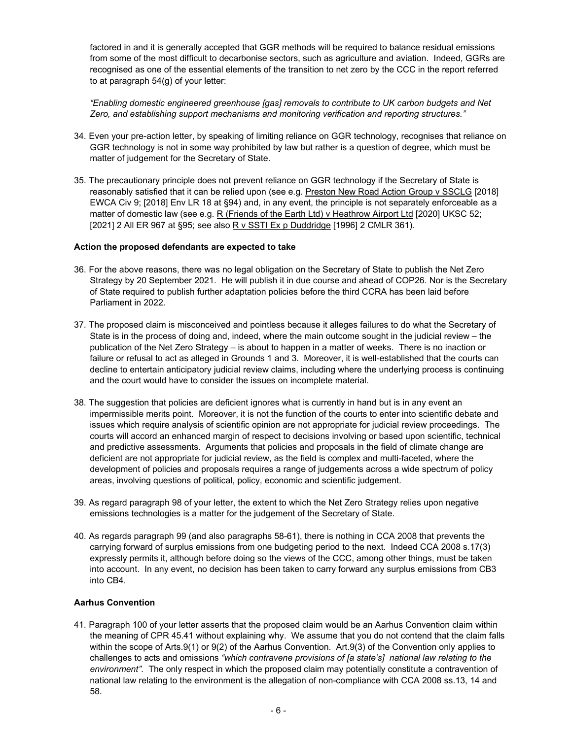factored in and it is generally accepted that GGR methods will be required to balance residual emissions from some of the most difficult to decarbonise sectors, such as agriculture and aviation. Indeed, GGRs are recognised as one of the essential elements of the transition to net zero by the CCC in the report referred to at paragraph 54(g) of your letter:

*"Enabling domestic engineered greenhouse [gas] removals to contribute to UK carbon budgets and Net Zero, and establishing support mechanisms and monitoring verification and reporting structures."* 

- 34. Even your pre-action letter, by speaking of limiting reliance on GGR technology, recognises that reliance on GGR technology is not in some way prohibited by law but rather is a question of degree, which must be matter of judgement for the Secretary of State.
- 35. The precautionary principle does not prevent reliance on GGR technology if the Secretary of State is reasonably satisfied that it can be relied upon (see e.g. Preston New Road Action Group v SSCLG [2018] EWCA Civ 9; [2018] Env LR 18 at §94) and, in any event, the principle is not separately enforceable as a matter of domestic law (see e.g. R (Friends of the Earth Ltd) v Heathrow Airport Ltd [2020] UKSC 52; [2021] 2 All ER 967 at §95; see also R v SSTI Ex p Duddridge [1996] 2 CMLR 361).

## **Action the proposed defendants are expected to take**

- 36. For the above reasons, there was no legal obligation on the Secretary of State to publish the Net Zero Strategy by 20 September 2021. He will publish it in due course and ahead of COP26. Nor is the Secretary of State required to publish further adaptation policies before the third CCRA has been laid before Parliament in 2022.
- 37. The proposed claim is misconceived and pointless because it alleges failures to do what the Secretary of State is in the process of doing and, indeed, where the main outcome sought in the judicial review – the publication of the Net Zero Strategy – is about to happen in a matter of weeks. There is no inaction or failure or refusal to act as alleged in Grounds 1 and 3. Moreover, it is well-established that the courts can decline to entertain anticipatory judicial review claims, including where the underlying process is continuing and the court would have to consider the issues on incomplete material.
- 38. The suggestion that policies are deficient ignores what is currently in hand but is in any event an impermissible merits point. Moreover, it is not the function of the courts to enter into scientific debate and issues which require analysis of scientific opinion are not appropriate for judicial review proceedings. The courts will accord an enhanced margin of respect to decisions involving or based upon scientific, technical and predictive assessments. Arguments that policies and proposals in the field of climate change are deficient are not appropriate for judicial review, as the field is complex and multi-faceted, where the development of policies and proposals requires a range of judgements across a wide spectrum of policy areas, involving questions of political, policy, economic and scientific judgement.
- 39. As regard paragraph 98 of your letter, the extent to which the Net Zero Strategy relies upon negative emissions technologies is a matter for the judgement of the Secretary of State.
- 40. As regards paragraph 99 (and also paragraphs 58-61), there is nothing in CCA 2008 that prevents the carrying forward of surplus emissions from one budgeting period to the next. Indeed CCA 2008 s.17(3) expressly permits it, although before doing so the views of the CCC, among other things, must be taken into account. In any event, no decision has been taken to carry forward any surplus emissions from CB3 into CB4.

# **Aarhus Convention**

41. Paragraph 100 of your letter asserts that the proposed claim would be an Aarhus Convention claim within the meaning of CPR 45.41 without explaining why. We assume that you do not contend that the claim falls within the scope of Arts.9(1) or 9(2) of the Aarhus Convention. Art.9(3) of the Convention only applies to challenges to acts and omissions *"which contravene provisions of [a state's] national law relating to the environment"*. The only respect in which the proposed claim may potentially constitute a contravention of national law relating to the environment is the allegation of non-compliance with CCA 2008 ss.13, 14 and 58.